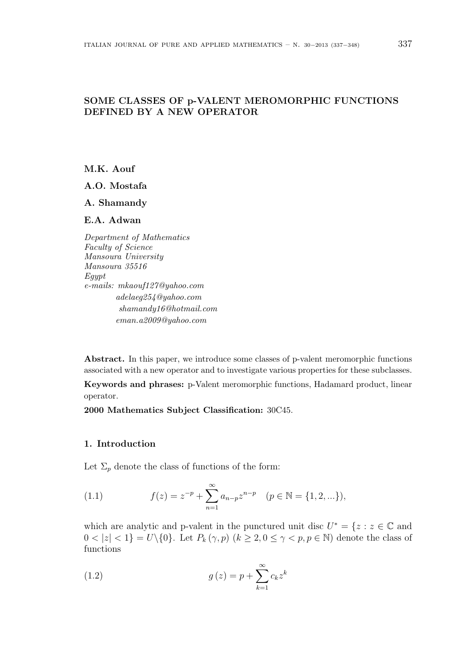# **SOME CLASSES OF p-VALENT MEROMORPHIC FUNCTIONS DEFINED BY A NEW OPERATOR**

**M.K. Aouf**

**A.O. Mostafa**

**A. Shamandy**

**E.A. Adwan**

*Department of Mathematics Faculty of Science Mansoura University Mansoura 35516 Egypt e-mails: mkaouf127@yahoo.com adelaeg254@yahoo.com shamandy16@hotmail.com eman.a2009@yahoo.com*

**Abstract.** In this paper, we introduce some classes of p-valent meromorphic functions associated with a new operator and to investigate various properties for these subclasses.

**Keywords and phrases:** p-Valent meromorphic functions, Hadamard product, linear operator.

**2000 Mathematics Subject Classification:** 30C45.

### **1. Introduction**

Let  $\Sigma_p$  denote the class of functions of the form:

(1.1) 
$$
f(z) = z^{-p} + \sum_{n=1}^{\infty} a_{n-p} z^{n-p} \quad (p \in \mathbb{N} = \{1, 2, ...\}),
$$

which are analytic and p-valent in the punctured unit disc  $U^* = \{z : z \in \mathbb{C} \text{ and } z \in \mathbb{C} \}$  $0 < |z| < 1$ } =  $U \setminus \{0\}$ . Let  $P_k(\gamma, p)$  ( $k \geq 2, 0 \leq \gamma < p, p \in \mathbb{N}$ ) denote the class of functions

(1.2) 
$$
g(z) = p + \sum_{k=1}^{\infty} c_k z^k
$$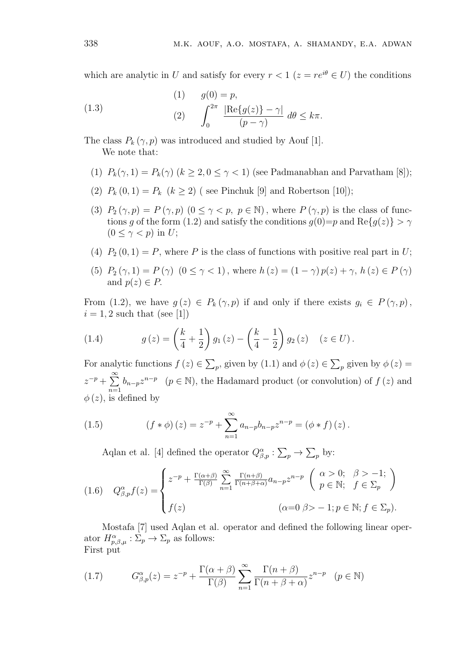which are analytic in *U* and satisfy for every  $r < 1$  ( $z = re^{i\theta} \in U$ ) the conditions

(1.3) 
$$
g(0) = p,
$$

$$
(2) \qquad \int_0^{2\pi} \frac{|\text{Re}\{g(z)\} - \gamma|}{(p - \gamma)} d\theta \le k\pi.
$$

The class  $P_k(\gamma, p)$  was introduced and studied by Aouf [1]. We note that:

- (1)  $P_k(\gamma, 1) = P_k(\gamma)$  ( $k \geq 2, 0 \leq \gamma < 1$ ) (see Padmanabhan and Parvatham [8]);
- (2)  $P_k(0,1) = P_k$   $(k \ge 2)$  (see Pinchuk [9] and Robertson [10]);
- (3)  $P_2(\gamma, p) = P(\gamma, p)$   $(0 \le \gamma < p, p \in \mathbb{N})$ , where  $P(\gamma, p)$  is the class of functions *g* of the form (1.2) and satisfy the conditions  $g(0)=p$  and  $\text{Re}{g(z)} > \gamma$  $(0 \leq \gamma < p)$  in *U*;
- (4)  $P_2(0,1) = P$ , where *P* is the class of functions with positive real part in *U*;
- (5)  $P_2(\gamma, 1) = P(\gamma) \ (0 \le \gamma < 1)$ , where  $h(z) = (1 \gamma) p(z) + \gamma$ ,  $h(z) \in P(\gamma)$ and  $p(z) \in P$ .

From (1.2), we have  $g(z) \in P_k(\gamma, p)$  if and only if there exists  $g_i \in P(\gamma, p)$ ,  $i = 1, 2$  such that (see [1])

(1.4) 
$$
g(z) = \left(\frac{k}{4} + \frac{1}{2}\right)g_1(z) - \left(\frac{k}{4} - \frac{1}{2}\right)g_2(z) \quad (z \in U).
$$

For analytic functions  $f(z) \in \sum_p$ , given by  $(1.1)$  and  $\phi(z) \in \sum_p$  given by  $\phi(z) =$ *z <sup>−</sup><sup>p</sup>* + ∑*∞*  $\sum_{n=1}$  *b*<sub>*n*−*p*</sub>*z*<sup>*n*−*p*</sup> (*p* ∈ N), the Hadamard product (or convolution) of *f* (*z*) and  $\phi(z)$ , is defined by

(1.5) 
$$
(f * \phi)(z) = z^{-p} + \sum_{n=1}^{\infty} a_{n-p} b_{n-p} z^{n-p} = (\phi * f)(z).
$$

Aqlan et al. [4] defined the operator  $Q_{\beta,p}^{\alpha} : \sum_{p} \to \sum_{p}$  by:

(1.6) 
$$
Q_{\beta,p}^{\alpha}f(z) = \begin{cases} z^{-p} + \frac{\Gamma(\alpha+\beta)}{\Gamma(\beta)} \sum_{n=1}^{\infty} \frac{\Gamma(n+\beta)}{\Gamma(n+\beta+\alpha)} a_{n-p} z^{n-p} & \text{if } \beta > -1; \\ f(z) & \text{if } \alpha = 0 \ \beta > -1; p \in \mathbb{N}; f \in \Sigma_p. \end{cases}
$$

Mostafa [7] used Aqlan et al. operator and defined the following linear operator  $H^{\alpha}_{p,\beta,\mu}: \Sigma_p \to \Sigma_p$  as follows: First put

(1.7) 
$$
G_{\beta,p}^{\alpha}(z) = z^{-p} + \frac{\Gamma(\alpha+\beta)}{\Gamma(\beta)} \sum_{n=1}^{\infty} \frac{\Gamma(n+\beta)}{\Gamma(n+\beta+\alpha)} z^{n-p} \quad (p \in \mathbb{N})
$$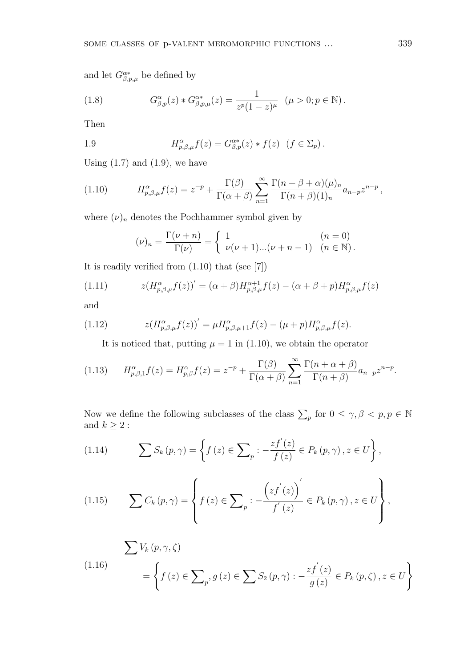and let  $G^{\alpha *}_{\beta,p,\mu}$  be defined by

(1.8) 
$$
G_{\beta,p}^{\alpha}(z) * G_{\beta,p,\mu}^{\alpha*}(z) = \frac{1}{z^p (1-z)^{\mu}} \ (\mu > 0; p \in \mathbb{N}).
$$

Then

1.9 
$$
H_{p,\beta,\mu}^{\alpha}f(z) = G_{\beta,p}^{\alpha*}(z) * f(z) \quad (f \in \Sigma_p).
$$

Using (1*.*7) and (1*.*9), we have

(1.10) 
$$
H_{p,\beta,\mu}^{\alpha}f(z) = z^{-p} + \frac{\Gamma(\beta)}{\Gamma(\alpha+\beta)} \sum_{n=1}^{\infty} \frac{\Gamma(n+\beta+\alpha)(\mu)_n}{\Gamma(n+\beta)(1)_n} a_{n-p} z^{n-p},
$$

where  $(\nu)_n$  denotes the Pochhammer symbol given by

$$
(\nu)_n = \frac{\Gamma(\nu + n)}{\Gamma(\nu)} = \begin{cases} 1 & (n = 0) \\ \nu(\nu + 1)...(\nu + n - 1) & (n \in \mathbb{N}). \end{cases}
$$

It is readily verified from (1*.*10) that (see [7])

(1.11) 
$$
z(H_{p,\beta,\mu}^{\alpha}f(z))' = (\alpha+\beta)H_{p,\beta,\mu}^{\alpha+1}f(z) - (\alpha+\beta+p)H_{p,\beta,\mu}^{\alpha}f(z)
$$

and

(1.12) 
$$
z(H_{p,\beta,\mu}^{\alpha}f(z))' = \mu H_{p,\beta,\mu+1}^{\alpha}f(z) - (\mu+p)H_{p,\beta,\mu}^{\alpha}f(z).
$$

It is noticed that, putting  $\mu = 1$  in (1.10), we obtain the operator

(1.13) 
$$
H_{p,\beta,1}^{\alpha}f(z) = H_{p,\beta}^{\alpha}f(z) = z^{-p} + \frac{\Gamma(\beta)}{\Gamma(\alpha+\beta)} \sum_{n=1}^{\infty} \frac{\Gamma(n+\alpha+\beta)}{\Gamma(n+\beta)} a_{n-p} z^{n-p}.
$$

Now we define the following subclasses of the class  $\sum_{p}$  for  $0 \leq \gamma, \beta < p, p \in \mathbb{N}$ and  $k\geq 2$  :

(1.14) 
$$
\sum S_k(p,\gamma) = \left\{ f(z) \in \sum_p : -\frac{zf'(z)}{f(z)} \in P_k(p,\gamma), z \in U \right\},\,
$$

(1.15) 
$$
\sum C_k(p,\gamma) = \left\{ f(z) \in \sum_p : -\frac{\left( z f^{'}(z) \right)^{'} }{f^{'}(z)} \in P_k(p,\gamma), z \in U \right\},\
$$

$$
\sum V_k(p, \gamma, \zeta)
$$
\n
$$
(1.16) \qquad \qquad = \left\{ f(z) \in \sum_p g(z) \in \sum S_2(p, \gamma) : -\frac{zf'(z)}{g(z)} \in P_k(p, \zeta), z \in U \right\}
$$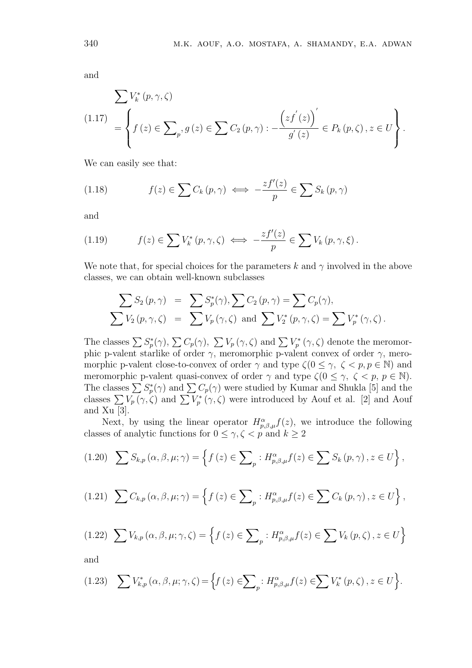and

$$
\sum V_k^*(p, \gamma, \zeta)
$$
\n
$$
(1.17) \quad = \left\{ f(z) \in \sum_p g(z) \in \sum C_2(p, \gamma) : -\frac{\left(zf^{'}(z)\right)^{'}}{g^{'}(z)} \in P_k(p, \zeta), z \in U \right\}.
$$

We can easily see that:

(1.18) 
$$
f(z) \in \sum C_k(p,\gamma) \iff -\frac{zf'(z)}{p} \in \sum S_k(p,\gamma)
$$

and

(1.19) 
$$
f(z) \in \sum V_k^*(p, \gamma, \zeta) \iff -\frac{zf'(z)}{p} \in \sum V_k(p, \gamma, \xi).
$$

We note that, for special choices for the parameters  $k$  and  $\gamma$  involved in the above classes, we can obtain well-known subclasses

$$
\sum S_2(p,\gamma) = \sum S_p^*(\gamma), \sum C_2(p,\gamma) = \sum C_p(\gamma),
$$
  

$$
\sum V_2(p,\gamma,\zeta) = \sum V_p(\gamma,\zeta) \text{ and } \sum V_2^*(p,\gamma,\zeta) = \sum V_p^*(\gamma,\zeta).
$$

The classes  $\sum S_p^*(\gamma)$ ,  $\sum C_p(\gamma)$ ,  $\sum V_p(\gamma, \zeta)$  and  $\sum V_p^*(\gamma, \zeta)$  denote the meromorphic p-valent starlike of order *γ*, meromorphic p-valent convex of order *γ*, meromorphic p-valent close-to-convex of order  $\gamma$  and type  $\zeta(0 \leq \gamma, \zeta \leq p, p \in \mathbb{N})$  and meromorphic p-valent quasi-convex of order  $\gamma$  and type  $\zeta(0 \leq \gamma, \zeta \leq p, p \in \mathbb{N})$ . The classes  $\sum S_p^*(\gamma)$  and  $\sum C_p(\gamma)$  were studied by Kumar and Shukla [5] and the classes  $\sum V_p(\gamma,\zeta)$  and  $\sum V_p^*(\gamma,\zeta)$  were introduced by Aouf et al. [2] and Aouf and Xu [3]*.*

Next, by using the linear operator  $H^{\alpha}_{p,\beta,\mu}f(z)$ , we introduce the following classes of analytic functions for  $0 \le \gamma, \zeta < p$  and  $k \ge 2$ 

$$
(1.20)\quad \sum S_{k,p}(\alpha,\beta,\mu;\gamma) = \left\{f(z) \in \sum_{p} : H^{\alpha}_{p,\beta,\mu}f(z) \in \sum S_{k}(p,\gamma), z \in U\right\},\,
$$

$$
(1.21)\quad \sum C_{k,p}(\alpha,\beta,\mu;\gamma) = \left\{f(z) \in \sum_{p} : H_{p,\beta,\mu}^{\alpha}f(z) \in \sum C_{k}(p,\gamma), z \in U\right\},\
$$

$$
(1.22)\ \sum V_{k,p}(\alpha,\beta,\mu;\gamma,\zeta) = \left\{f(z) \in \sum_{p} : H_{p,\beta,\mu}^{\alpha}f(z) \in \sum V_{k}(p,\zeta), z \in U\right\}
$$

and

$$
(1.23)\quad \sum V_{k,p}^*(\alpha,\beta,\mu;\gamma,\zeta) = \Big\{f(z) \in \sum\nolimits_p : H_{p,\beta,\mu}^{\alpha} f(z) \in \sum V_k^*(p,\zeta), z \in U\Big\}.
$$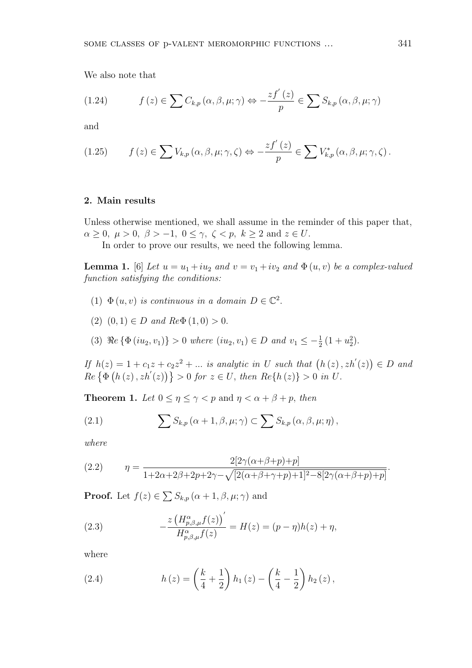We also note that

(1.24) 
$$
f(z) \in \sum C_{k,p}(\alpha,\beta,\mu;\gamma) \Leftrightarrow -\frac{zf'(z)}{p} \in \sum S_{k,p}(\alpha,\beta,\mu;\gamma)
$$

and

(1.25) 
$$
f(z) \in \sum V_{k,p}(\alpha,\beta,\mu;\gamma,\zeta) \Leftrightarrow -\frac{zf'(z)}{p} \in \sum V_{k,p}^*(\alpha,\beta,\mu;\gamma,\zeta).
$$

#### **2. Main results**

Unless otherwise mentioned, we shall assume in the reminder of this paper that,  $\alpha \geq 0, \ \mu > 0, \ \beta > -1, \ 0 \leq \gamma, \ \zeta < p, \ k \geq 2 \text{ and } z \in U.$ 

In order to prove our results, we need the following lemma.

**Lemma 1.** [6] Let  $u = u_1 + iu_2$  and  $v = v_1 + iv_2$  and  $\Phi(u, v)$  be a complex-valued *function satisfying the conditions:*

- (1)  $\Phi(u, v)$  *is continuous in a domain*  $D \in \mathbb{C}^2$ .
- (2)  $(0, 1) \in D$  *and*  $Re\Phi(1, 0) > 0$ .
- (3)  $\Re e \{\Phi(iu_2, v_1)\} > 0$  where  $(iu_2, v_1) \in D$  and  $v_1 \leq -\frac{1}{2}(1 + u_2^2)$ .

*If*  $h(z) = 1 + c_1 z + c_2 z^2 + \dots$  *is analytic in U such that*  $(h(z), zh'(z)) \in D$  *and*  $Re\{\Phi(h(z), zh'(z))\} > 0$  for  $z \in U$ , then  $Re\{h(z)\} > 0$  in U.

**Theorem 1.** *Let*  $0 \le \eta \le \gamma < p$  and  $\eta < \alpha + \beta + p$ , *then* 

(2.1) 
$$
\sum S_{k,p}(\alpha+1,\beta,\mu;\gamma) \subset \sum S_{k,p}(\alpha,\beta,\mu;\eta),
$$

*where*

(2.2) 
$$
\eta = \frac{2[2\gamma(\alpha+\beta+p)+p]}{1+2\alpha+2\beta+2p+2\gamma-\sqrt{[2(\alpha+\beta+\gamma+p)+1]^2-8[2\gamma(\alpha+\beta+p)+p]}}
$$

**Proof.** Let  $f(z) \in \sum S_{k,p} (\alpha + 1, \beta, \mu; \gamma)$  and

(2.3) 
$$
-\frac{z\left(H_{p,\beta,\mu}^{\alpha}f(z)\right)'}{H_{p,\beta,\mu}^{\alpha}f(z)} = H(z) = (p-\eta)h(z) + \eta,
$$

where

(2.4) 
$$
h(z) = \left(\frac{k}{4} + \frac{1}{2}\right)h_1(z) - \left(\frac{k}{4} - \frac{1}{2}\right)h_2(z),
$$

*.*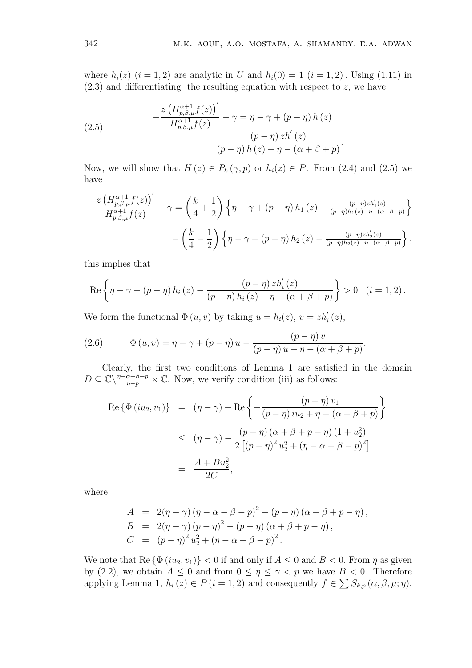*.*

where  $h_i(z)$   $(i = 1, 2)$  are analytic in *U* and  $h_i(0) = 1$   $(i = 1, 2)$ . Using (1.11) in (2.3) and differentiating the resulting equation with respect to *z*, we have

(2.5) 
$$
-\frac{z\left(H_{p,\beta,\mu}^{\alpha+1}f(z)\right)'}{H_{p,\beta,\mu}^{\alpha+1}f(z)} - \gamma = \eta - \gamma + (p-\eta)h(z) - \frac{(p-\eta)zh'(z)}{(p-\eta)h(z)+\eta-(\alpha+\beta+p)}
$$

Now, we will show that  $H(z) \in P_k(\gamma, p)$  or  $h_i(z) \in P$ . From (2.4) and (2.5) we have

$$
-\frac{z\left(H_{p,\beta,\mu}^{\alpha+1}f(z)\right)'}{H_{p,\beta,\mu}^{\alpha+1}f(z)} - \gamma = \left(\frac{k}{4} + \frac{1}{2}\right) \left\{\eta - \gamma + (p-\eta)h_1(z) - \frac{(p-\eta)zh_1'(z)}{(p-\eta)h_1(z) + \eta - (\alpha+\beta+p)}\right\}
$$

$$
-\left(\frac{k}{4} - \frac{1}{2}\right) \left\{\eta - \gamma + (p-\eta)h_2(z) - \frac{(p-\eta)zh_2'(z)}{(p-\eta)h_2(z) + \eta - (\alpha+\beta+p)}\right\},\,
$$

this implies that

$$
\operatorname{Re}\left\{\eta-\gamma+(p-\eta) h_i(z)-\frac{(p-\eta) \, z h_i'(z)}{(p-\eta) \, h_i(z)+\eta-(\alpha+\beta+p)}\right\}>0 \quad (i=1,2).
$$

We form the functional  $\Phi(u, v)$  by taking  $u = h_i(z)$ ,  $v = z h'_i(z)$ ,

(2.6) 
$$
\Phi(u, v) = \eta - \gamma + (p - \eta) u - \frac{(p - \eta) v}{(p - \eta) u + \eta - (\alpha + \beta + p)}.
$$

Clearly, the first two conditions of Lemma 1 are satisfied in the domain  $D \subseteq \mathbb{C} \setminus \frac{\eta - \alpha + \beta + p}{n - n}$  $\frac{\alpha + \beta + p}{\eta - p} \times \mathbb{C}$ . Now, we verify condition (iii) as follows:

$$
\begin{array}{rcl} \text{Re}\left\{\Phi\left(iu_2, v_1\right)\right\} & = & \left(\eta - \gamma\right) + \text{Re}\left\{-\frac{\left(p - \eta\right)u_1}{\left(p - \eta\right)iu_2 + \eta - \left(\alpha + \beta + p\right)}\right\} \\ \\ & \leq & \left(\eta - \gamma\right) - \frac{\left(p - \eta\right)\left(\alpha + \beta + p - \eta\right)\left(1 + u_2^2\right)}{2\left[\left(p - \eta\right)^2 u_2^2 + \left(\eta - \alpha - \beta - p\right)^2\right]} \\ \\ & = & \frac{A + Bu_2^2}{2C}, \end{array}
$$

where

A = 
$$
2(\eta - \gamma) (\eta - \alpha - \beta - p)^2 - (p - \eta) (\alpha + \beta + p - \eta)
$$
,  
\nB =  $2(\eta - \gamma) (p - \eta)^2 - (p - \eta) (\alpha + \beta + p - \eta)$ ,  
\nC =  $(p - \eta)^2 u_2^2 + (\eta - \alpha - \beta - p)^2$ .

We note that  $\text{Re} \{\Phi(iu_2, v_1)\} < 0$  if and only if  $A \leq 0$  and  $B < 0$ . From  $\eta$  as given by (2.2), we obtain  $A \leq 0$  and from  $0 \leq \eta \leq \gamma < p$  we have  $B < 0$ . Therefore applying Lemma 1,  $h_i(z) \in P(i = 1, 2)$  and consequently  $f \in \sum S_{k,p}(\alpha, \beta, \mu; \eta)$ .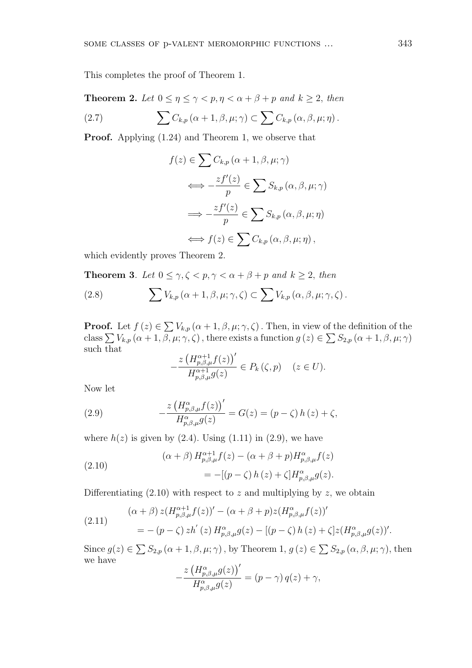This completes the proof of Theorem 1.

**Theorem 2.** Let  $0 \le \eta \le \gamma < p, \eta < \alpha + \beta + p$  and  $k \ge 2$ , then

(2.7) 
$$
\sum C_{k,p} (\alpha + 1, \beta, \mu; \gamma) \subset \sum C_{k,p} (\alpha, \beta, \mu; \eta).
$$

**Proof.** Applying (1*.*24) and Theorem 1, we observe that

$$
f(z) \in \sum C_{k,p} (\alpha + 1, \beta, \mu; \gamma)
$$
  
\n
$$
\iff -\frac{zf'(z)}{p} \in \sum S_{k,p} (\alpha, \beta, \mu; \gamma)
$$
  
\n
$$
\implies -\frac{zf'(z)}{p} \in \sum S_{k,p} (\alpha, \beta, \mu; \eta)
$$
  
\n
$$
\iff f(z) \in \sum C_{k,p} (\alpha, \beta, \mu; \eta),
$$

which evidently proves Theorem 2.

**Theorem 3***. Let*  $0 \leq \gamma, \zeta < p, \gamma < \alpha + \beta + p$  and  $k \geq 2$ , then

(2.8) 
$$
\sum V_{k,p}(\alpha+1,\beta,\mu;\gamma,\zeta) \subset \sum V_{k,p}(\alpha,\beta,\mu;\gamma,\zeta).
$$

**Proof.** Let  $f(z) \in \sum V_{k,p} (\alpha + 1, \beta, \mu; \gamma, \zeta)$ . Then, in view of the definition of the class  $\sum V_{k,p} (\alpha+1,\beta,\mu;\gamma,\zeta)$ , there exists a function  $g(z) \in \sum S_{2,p} (\alpha+1,\beta,\mu;\gamma)$ such that

$$
-\frac{z\left(H_{p,\beta,\mu}^{\alpha+1}f(z)\right)'}{H_{p,\beta,\mu}^{\alpha+1}g(z)} \in P_k\left(\zeta,p\right) \quad (z \in U).
$$

Now let

(2.9) 
$$
-\frac{z\left(H_{p,\beta,\mu}^{\alpha}f(z)\right)'}{H_{p,\beta,\mu}^{\alpha}g(z)} = G(z) = (p-\zeta) h(z) + \zeta,
$$

where  $h(z)$  is given by  $(2.4)$ . Using  $(1.11)$  in  $(2.9)$ , we have

(2.10)  
\n
$$
(\alpha + \beta) H_{p,\beta,\mu}^{\alpha+1} f(z) - (\alpha + \beta + p) H_{p,\beta,\mu}^{\alpha} f(z)
$$
\n
$$
= -[(p - \zeta) h(z) + \zeta] H_{p,\beta,\mu}^{\alpha} g(z).
$$

Differentiating  $(2.10)$  with respect to *z* and multiplying by *z*, we obtain

(2.11) 
$$
(\alpha + \beta) z (H_{p,\beta,\mu}^{\alpha+1} f(z))' - (\alpha + \beta + p) z (H_{p,\beta,\mu}^{\alpha} f(z))'
$$

$$
= -(p - \zeta) zh'(z) H_{p,\beta,\mu}^{\alpha} g(z) - [(p - \zeta) h(z) + \zeta] z (H_{p,\beta,\mu}^{\alpha} g(z))'.
$$

Since  $g(z) \in \sum S_{2,p} (\alpha + 1, \beta, \mu; \gamma)$ , by Theorem 1,  $g(z) \in \sum S_{2,p} (\alpha, \beta, \mu; \gamma)$ , then we have

$$
-\frac{z\left(H^{\alpha}_{p,\beta,\mu}g(z)\right)'}{H^{\alpha}_{p,\beta,\mu}g(z)} = (p-\gamma)q(z) + \gamma,
$$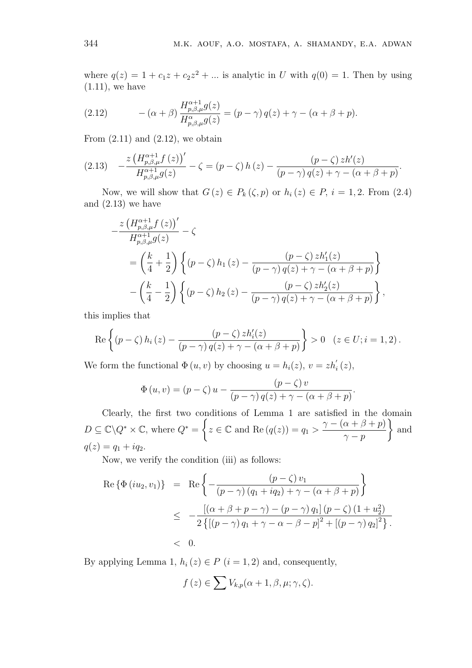where  $q(z) = 1 + c_1 z + c_2 z^2 + \dots$  is analytic in *U* with  $q(0) = 1$ . Then by using  $(1.11)$ , we have

(2.12) 
$$
-(\alpha+\beta)\frac{H_{p,\beta,\mu}^{\alpha+1}g(z)}{H_{p,\beta,\mu}^{\alpha}g(z)}=(p-\gamma)q(z)+\gamma-(\alpha+\beta+p).
$$

From  $(2.11)$  and  $(2.12)$ , we obtain

$$
(2.13)\quad -\frac{z\left(H_{p,\beta,\mu}^{\alpha+1}f\left(z\right)\right)'}{H_{p,\beta,\mu}^{\alpha+1}g(z)}-\zeta=\left(p-\zeta\right)h\left(z\right)-\frac{\left(p-\zeta\right)zh'\left(z\right)}{\left(p-\gamma\right)q\left(z\right)+\gamma-\left(\alpha+\beta+p\right)}.
$$

Now, we will show that  $G(z) \in P_k(\zeta, p)$  or  $h_i(z) \in P$ ,  $i = 1, 2$ . From (2.4) and  $(2.13)$  we have

$$
-\frac{z\left(H_{p,\beta,\mu}^{\alpha+1}f\left(z\right)\right)'}{H_{p,\beta,\mu}^{\alpha+1}g(z)}-\zeta
$$
  
=
$$
\left(\frac{k}{4}+\frac{1}{2}\right)\left\{(p-\zeta)h_1\left(z\right)-\frac{(p-\zeta)zh_1'(z)}{(p-\gamma)q(z)+\gamma-(\alpha+\beta+p)}\right\}
$$
  

$$
-\left(\frac{k}{4}-\frac{1}{2}\right)\left\{(p-\zeta)h_2\left(z\right)-\frac{(p-\zeta)zh_2'(z)}{(p-\gamma)q(z)+\gamma-(\alpha+\beta+p)}\right\},\right.
$$

this implies that

$$
\operatorname{Re}\left\{\left(p-\zeta\right)h_i\left(z\right)-\frac{\left(p-\zeta\right)zh'_i(z)}{\left(p-\gamma\right)q(z)+\gamma-\left(\alpha+\beta+p\right)}\right\}>0\quad(z\in U;i=1,2).
$$

We form the functional  $\Phi(u, v)$  by choosing  $u = h_i(z)$ ,  $v = z h'_i(z)$ ,

$$
\Phi(u,v) = (p - \zeta) u - \frac{(p - \zeta) v}{(p - \gamma) q(z) + \gamma - (\alpha + \beta + p)}.
$$

Clearly, the first two conditions of Lemma 1 are satisfied in the domain  $D \subseteq \mathbb{C} \backslash Q^* \times \mathbb{C}$ , where  $Q^* =$  $\sqrt{ }$  $z \in \mathbb{C}$  and  $\text{Re}(q(z)) = q_1 >$  $\gamma$  *−* ( $\alpha$  +  $\beta$  +  $p$ ) *γ − p*  $\lambda$ and  $q(z) = q_1 + iq_2.$ 

Now, we verify the condition (iii) as follows:

Re 
$$
\{\Phi(iu_2, v_1)\}\
$$
 = Re  $\left\{-\frac{(p-\zeta) v_1}{(p-\gamma) (q_1 + iq_2) + \gamma - (\alpha + \beta + p)}\right\}$   
\n $\leq -\frac{[(\alpha + \beta + p - \gamma) - (p-\gamma) q_1] (p-\zeta) (1+u_2^2)}{2 \{[(p-\gamma) q_1 + \gamma - \alpha - \beta - p]^2 + [(p-\gamma) q_2]^2\}}$ .  
\n $\leq 0.$ 

By applying Lemma 1,  $h_i(z) \in P$  ( $i = 1, 2$ ) and, consequently,

$$
f(z) \in \sum V_{k,p}(\alpha+1,\beta,\mu;\gamma,\zeta).
$$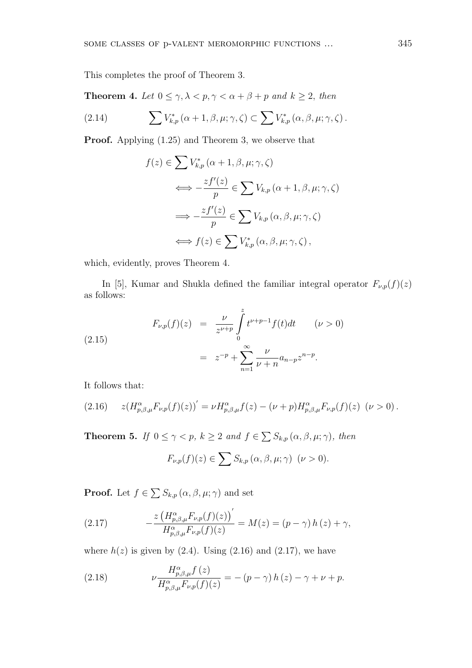This completes the proof of Theorem 3.

**Theorem 4.** *Let*  $0 \leq \gamma, \lambda < p, \gamma < \alpha + \beta + p$  *and*  $k \geq 2$ *, then* 

(2.14) 
$$
\sum V_{k,p}^*(\alpha+1,\beta,\mu;\gamma,\zeta) \subset \sum V_{k,p}^*(\alpha,\beta,\mu;\gamma,\zeta).
$$

**Proof.** Applying (1*.*25) and Theorem 3, we observe that

$$
f(z) \in \sum V_{k,p}^* (\alpha + 1, \beta, \mu; \gamma, \zeta)
$$
  

$$
\iff -\frac{zf'(z)}{p} \in \sum V_{k,p} (\alpha + 1, \beta, \mu; \gamma, \zeta)
$$
  

$$
\iff -\frac{zf'(z)}{p} \in \sum V_{k,p} (\alpha, \beta, \mu; \gamma, \zeta)
$$
  

$$
\iff f(z) \in \sum V_{k,p}^* (\alpha, \beta, \mu; \gamma, \zeta),
$$

which, evidently, proves Theorem 4.

In [5], Kumar and Shukla defined the familiar integral operator  $F_{\nu,p}(f)(z)$ as follows:

(2.15)  

$$
F_{\nu,p}(f)(z) = \frac{\nu}{z^{\nu+p}} \int_{0}^{z} t^{\nu+p-1} f(t) dt \qquad (\nu > 0)
$$

$$
= z^{-p} + \sum_{n=1}^{\infty} \frac{\nu}{\nu+n} a_{n-p} z^{n-p}.
$$

It follows that:

$$
(2.16) \t z(H_{p,\beta,\mu}^{\alpha}F_{\nu,p}(f)(z))' = \nu H_{p,\beta,\mu}^{\alpha}f(z) - (\nu + p)H_{p,\beta,\mu}^{\alpha}F_{\nu,p}(f)(z) \ (\nu > 0).
$$

**Theorem 5.** *If*  $0 \le \gamma < p$ *,*  $k \ge 2$  *and*  $f \in \sum S_{k,p}(\alpha, \beta, \mu; \gamma)$ *, then* 

$$
F_{\nu,p}(f)(z) \in \sum S_{k,p}(\alpha,\beta,\mu;\gamma) \quad (\nu > 0).
$$

**Proof.** Let  $f \in \sum S_{k,p} (\alpha, \beta, \mu; \gamma)$  and set

(2.17) 
$$
-\frac{z\left(H_{p,\beta,\mu}^{\alpha}F_{\nu,p}(f)(z)\right)'}{H_{p,\beta,\mu}^{\alpha}F_{\nu,p}(f)(z)}=M(z)=(p-\gamma)h(z)+\gamma,
$$

where  $h(z)$  is given by (2.4). Using (2.16) and (2.17), we have

(2.18) 
$$
\nu \frac{H_{p,\beta,\mu}^{\alpha}f(z)}{H_{p,\beta,\mu}^{\alpha}F_{\nu,p}(f)(z)} = -(p-\gamma)h(z) - \gamma + \nu + p.
$$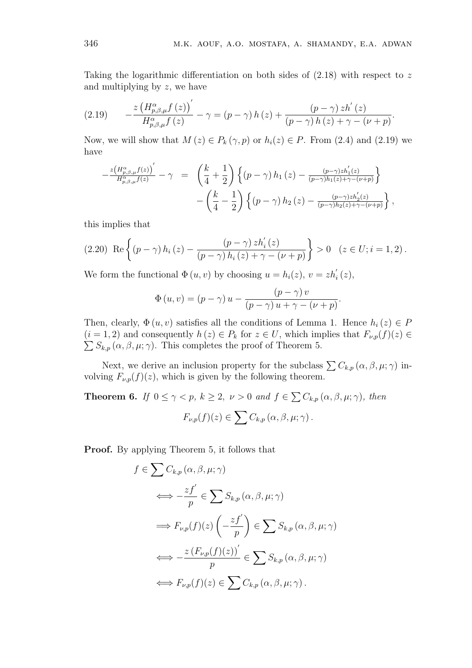Taking the logarithmic differentiation on both sides of (2*.*18) with respect to *z* and multiplying by *z*, we have

$$
(2.19) \qquad -\frac{z\left(H_{p,\beta,\mu}^{\alpha}f\left(z\right)\right)'}{H_{p,\beta,\mu}^{\alpha}f\left(z\right)}-\gamma=\left(p-\gamma\right)h\left(z\right)+\frac{\left(p-\gamma\right)zh'\left(z\right)}{\left(p-\gamma\right)h\left(z\right)+\gamma-\left(\nu+p\right)}.
$$

Now, we will show that  $M(z) \in P_k(\gamma, p)$  or  $h_i(z) \in P$ . From (2.4) and (2.19) we have

$$
-\frac{z\left(H_{p,\beta,\mu}^{\alpha}f(z)\right)'}{H_{p,\beta,\mu}^{\alpha}f(z)}-\gamma = \left(\frac{k}{4}+\frac{1}{2}\right)\left\{\left(p-\gamma\right)h_1\left(z\right)-\frac{(p-\gamma)zh_1'(z)}{(p-\gamma)h_1(z)+\gamma-(\nu+p)}\right\}
$$

$$
-\left(\frac{k}{4}-\frac{1}{2}\right)\left\{\left(p-\gamma\right)h_2\left(z\right)-\frac{(p-\gamma)zh_2'(z)}{(p-\gamma)h_2(z)+\gamma-(\nu+p)}\right\},\,
$$

this implies that

$$
(2.20)\ \operatorname{Re}\left\{(p-\gamma)\,h_i\,(z)-\frac{(p-\gamma)\,zh_i'(z)}{(p-\gamma)\,h_i\,(z)+\gamma-(\nu+p)}\right\}>0\quad(z\in U;i=1,2)\,.
$$

We form the functional  $\Phi(u, v)$  by choosing  $u = h_i(z)$ ,  $v = z h'_i(z)$ ,

$$
\Phi(u,v) = (p - \gamma) u - \frac{(p - \gamma) v}{(p - \gamma) u + \gamma - (\nu + p)}.
$$

Then, clearly,  $\Phi(u, v)$  satisfies all the conditions of Lemma 1. Hence  $h_i(z) \in P$  $(i = 1, 2)$  and consequently  $h(z) \in P_k$  for  $z \in U$ , which implies that  $F_{\nu,p}(f)(z) \in P_k$  $\sum S_{k,p}(\alpha,\beta,\mu;\gamma)$ . This completes the proof of Theorem 5.

Next, we derive an inclusion property for the subclass  $\sum C_{k,p} (\alpha, \beta, \mu; \gamma)$  involving  $F_{\nu,p}(f)(z)$ , which is given by the following theorem.

**Theorem 6.** *If*  $0 \le \gamma < p$ *,*  $k \ge 2$ *,*  $\nu > 0$  *and*  $f \in \sum C_{k,p} (\alpha, \beta, \mu; \gamma)$ *, then*  $F_{\nu,p}(f)(z) \in \sum C_{k,p} (\alpha, \beta, \mu; \gamma).$ 

**Proof.** By applying Theorem 5, it follows that

$$
f \in \sum C_{k,p} (\alpha, \beta, \mu; \gamma)
$$
  
\n
$$
\iff -\frac{zf'}{p} \in \sum S_{k,p} (\alpha, \beta, \mu; \gamma)
$$
  
\n
$$
\implies F_{\nu,p}(f)(z) \left( -\frac{zf'}{p} \right) \in \sum S_{k,p} (\alpha, \beta, \mu; \gamma)
$$
  
\n
$$
\iff -\frac{z (F_{\nu,p}(f)(z))'}{p} \in \sum S_{k,p} (\alpha, \beta, \mu; \gamma)
$$
  
\n
$$
\iff F_{\nu,p}(f)(z) \in \sum C_{k,p} (\alpha, \beta, \mu; \gamma).
$$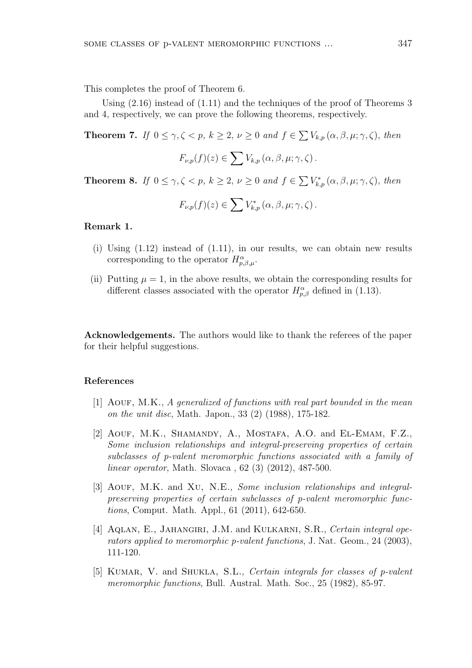This completes the proof of Theorem 6.

Using  $(2.16)$  instead of  $(1.11)$  and the techniques of the proof of Theorems 3 and 4, respectively, we can prove the following theorems, respectively.

**Theorem 7.** *If*  $0 \le \gamma, \zeta < p$ ,  $k \ge 2$ ,  $\nu \ge 0$  *and*  $f \in \sum V_{k,p} (\alpha, \beta, \mu; \gamma, \zeta)$ , *then* 

$$
F_{\nu,p}(f)(z) \in \sum V_{k,p}(\alpha,\beta,\mu;\gamma,\zeta).
$$

**Theorem 8.** *If*  $0 \le \gamma, \zeta < p$ ,  $k \ge 2$ ,  $\nu \ge 0$  *and*  $f \in \sum V_{k,p}^* (\alpha, \beta, \mu; \gamma, \zeta)$ , *then* 

$$
F_{\nu,p}(f)(z) \in \sum V_{k,p}^*(\alpha,\beta,\mu;\gamma,\zeta).
$$

#### **Remark 1.**

- (i) Using  $(1.12)$  instead of  $(1.11)$ , in our results, we can obtain new results corresponding to the operator  $H^{\alpha}_{p,\beta,\mu}$ .
- (ii) Putting  $\mu = 1$ , in the above results, we obtain the corresponding results for different classes associated with the operator  $H^{\alpha}_{p,\beta}$  defined in (1.13).

**Acknowledgements.** The authors would like to thank the referees of the paper for their helpful suggestions.

## **References**

- [1] Aouf, M.K., *A generalized of functions with real part bounded in the mean on the unit disc*, Math. Japon., 33 (2) (1988), 175-182.
- [2] AOUF, M.K., SHAMANDY, A., MOSTAFA, A.O. and EL-EMAM, F.Z., *Some inclusion relationships and integral-preserving properties of certain subclasses of p-valent meromorphic functions associated with a family of linear operator*, Math. Slovaca , 62 (3) (2012), 487-500.
- [3] Aouf, M.K. and Xu, N.E., *Some inclusion relationships and integralpreserving properties of certain subclasses of p-valent meromorphic functions*, Comput. Math. Appl., 61 (2011), 642-650.
- [4] AQLAN, E., JAHANGIRI, J.M. and KULKARNI, S.R., *Certain integral operators applied to meromorphic p-valent functions*, J. Nat. Geom., 24 (2003), 111-120.
- [5] Kumar, V. and Shukla, S.L., *Certain integrals for classes of p-valent meromorphic functions*, Bull. Austral. Math. Soc., 25 (1982), 85-97.